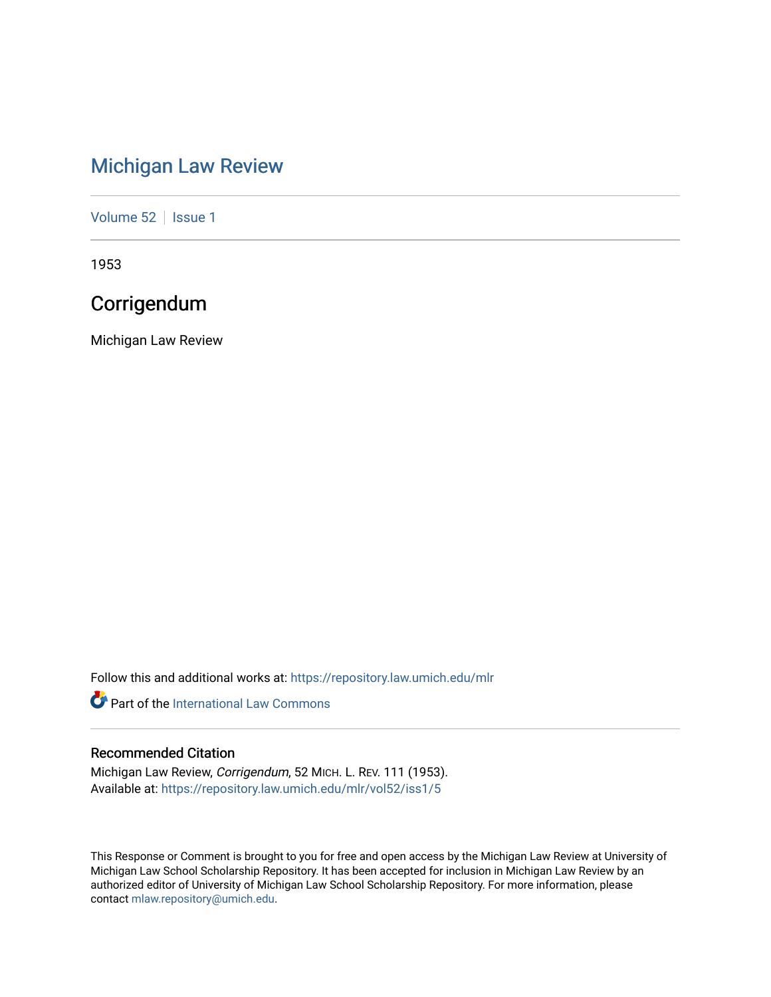## [Michigan Law Review](https://repository.law.umich.edu/mlr)

[Volume 52](https://repository.law.umich.edu/mlr/vol52) | [Issue 1](https://repository.law.umich.edu/mlr/vol52/iss1)

1953

## **Corrigendum**

Michigan Law Review

Follow this and additional works at: [https://repository.law.umich.edu/mlr](https://repository.law.umich.edu/mlr?utm_source=repository.law.umich.edu%2Fmlr%2Fvol52%2Fiss1%2F5&utm_medium=PDF&utm_campaign=PDFCoverPages) 

**P** Part of the International Law Commons

## Recommended Citation

Michigan Law Review, Corrigendum, 52 MICH. L. REV. 111 (1953). Available at: [https://repository.law.umich.edu/mlr/vol52/iss1/5](https://repository.law.umich.edu/mlr/vol52/iss1/5?utm_source=repository.law.umich.edu%2Fmlr%2Fvol52%2Fiss1%2F5&utm_medium=PDF&utm_campaign=PDFCoverPages)

This Response or Comment is brought to you for free and open access by the Michigan Law Review at University of Michigan Law School Scholarship Repository. It has been accepted for inclusion in Michigan Law Review by an authorized editor of University of Michigan Law School Scholarship Repository. For more information, please contact [mlaw.repository@umich.edu](mailto:mlaw.repository@umich.edu).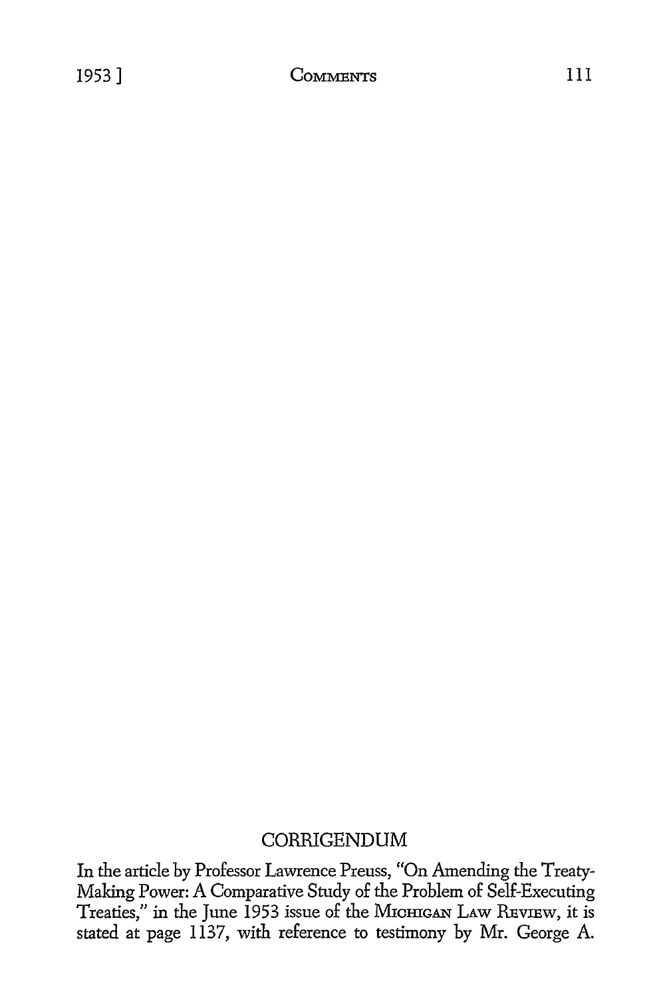## CORRIGENDUM

In the article by Professor Lawrence Preuss, "On Amending the Treaty-Making Power: A Comparative Study of the Problem of Self-Executing Treaties," in the June 1953 issue of the MICHIGAN LAW REVIEW, it is stated at page 1137, with reference to testimony by Mr. George A.